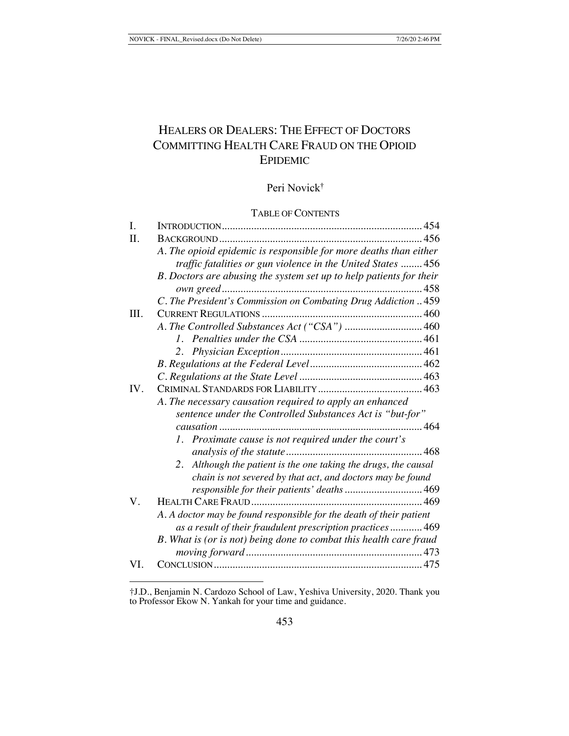# HEALERS OR DEALERS: THE EFFECT OF DOCTORS COMMITTING HEALTH CARE FRAUD ON THE OPIOID EPIDEMIC

## Peri Novick†

## TABLE OF CONTENTS

| I.  |                                                                     |  |
|-----|---------------------------------------------------------------------|--|
| Π.  |                                                                     |  |
|     | A. The opioid epidemic is responsible for more deaths than either   |  |
|     | traffic fatalities or gun violence in the United States  456        |  |
|     | B. Doctors are abusing the system set up to help patients for their |  |
|     |                                                                     |  |
|     | C. The President's Commission on Combating Drug Addiction  459      |  |
| Ш.  |                                                                     |  |
|     |                                                                     |  |
|     |                                                                     |  |
|     |                                                                     |  |
|     |                                                                     |  |
|     |                                                                     |  |
| IV. |                                                                     |  |
|     | A. The necessary causation required to apply an enhanced            |  |
|     | sentence under the Controlled Substances Act is "but-for"           |  |
|     |                                                                     |  |
|     | 1. Proximate cause is not required under the court's                |  |
|     |                                                                     |  |
|     | Although the patient is the one taking the drugs, the causal<br>2.  |  |
|     | chain is not severed by that act, and doctors may be found          |  |
|     | responsible for their patients' deaths  469                         |  |
| V.  |                                                                     |  |
|     | A. A doctor may be found responsible for the death of their patient |  |
|     | as a result of their fraudulent prescription practices  469         |  |
|     | B. What is (or is not) being done to combat this health care fraud  |  |
|     |                                                                     |  |
| VL. |                                                                     |  |
|     |                                                                     |  |

†J.D., Benjamin N. Cardozo School of Law, Yeshiva University, 2020. Thank you to Professor Ekow N. Yankah for your time and guidance.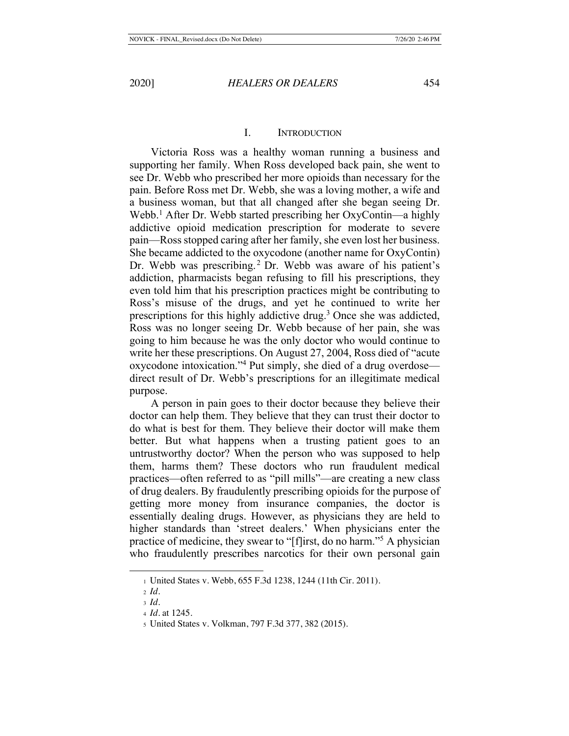## I. INTRODUCTION

Victoria Ross was a healthy woman running a business and supporting her family. When Ross developed back pain, she went to see Dr. Webb who prescribed her more opioids than necessary for the pain. Before Ross met Dr. Webb, she was a loving mother, a wife and a business woman, but that all changed after she began seeing Dr. Webb.<sup>1</sup> After Dr. Webb started prescribing her OxyContin—a highly addictive opioid medication prescription for moderate to severe pain—Ross stopped caring after her family, she even lost her business. She became addicted to the oxycodone (another name for OxyContin) Dr. Webb was prescribing.<sup>2</sup> Dr. Webb was aware of his patient's addiction, pharmacists began refusing to fill his prescriptions, they even told him that his prescription practices might be contributing to Ross's misuse of the drugs, and yet he continued to write her prescriptions for this highly addictive drug.<sup>3</sup> Once she was addicted, Ross was no longer seeing Dr. Webb because of her pain, she was going to him because he was the only doctor who would continue to write her these prescriptions. On August 27, 2004, Ross died of "acute oxycodone intoxication."4 Put simply, she died of a drug overdose direct result of Dr. Webb's prescriptions for an illegitimate medical purpose.

A person in pain goes to their doctor because they believe their doctor can help them. They believe that they can trust their doctor to do what is best for them. They believe their doctor will make them better. But what happens when a trusting patient goes to an untrustworthy doctor? When the person who was supposed to help them, harms them? These doctors who run fraudulent medical practices—often referred to as "pill mills"—are creating a new class of drug dealers. By fraudulently prescribing opioids for the purpose of getting more money from insurance companies, the doctor is essentially dealing drugs. However, as physicians they are held to higher standards than 'street dealers.' When physicians enter the practice of medicine, they swear to "[f]irst, do no harm."5 A physician who fraudulently prescribes narcotics for their own personal gain

<sup>1</sup> United States v. Webb, 655 F.3d 1238, 1244 (11th Cir. 2011).

<sup>2</sup> *Id.*

<sup>3</sup> *Id.*

<sup>4</sup> *Id.* at 1245.

<sup>5</sup> United States v. Volkman, 797 F.3d 377, 382 (2015).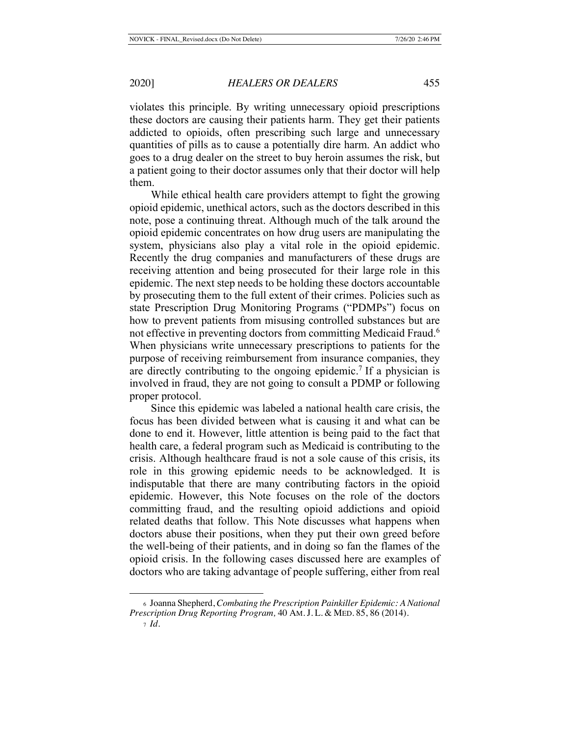violates this principle. By writing unnecessary opioid prescriptions these doctors are causing their patients harm. They get their patients addicted to opioids, often prescribing such large and unnecessary quantities of pills as to cause a potentially dire harm. An addict who goes to a drug dealer on the street to buy heroin assumes the risk, but a patient going to their doctor assumes only that their doctor will help them.

While ethical health care providers attempt to fight the growing opioid epidemic, unethical actors, such as the doctors described in this note, pose a continuing threat. Although much of the talk around the opioid epidemic concentrates on how drug users are manipulating the system, physicians also play a vital role in the opioid epidemic. Recently the drug companies and manufacturers of these drugs are receiving attention and being prosecuted for their large role in this epidemic. The next step needs to be holding these doctors accountable by prosecuting them to the full extent of their crimes. Policies such as state Prescription Drug Monitoring Programs ("PDMPs") focus on how to prevent patients from misusing controlled substances but are not effective in preventing doctors from committing Medicaid Fraud.<sup>6</sup> When physicians write unnecessary prescriptions to patients for the purpose of receiving reimbursement from insurance companies, they are directly contributing to the ongoing epidemic.<sup>7</sup> If a physician is involved in fraud, they are not going to consult a PDMP or following proper protocol.

Since this epidemic was labeled a national health care crisis, the focus has been divided between what is causing it and what can be done to end it. However, little attention is being paid to the fact that health care, a federal program such as Medicaid is contributing to the crisis. Although healthcare fraud is not a sole cause of this crisis, its role in this growing epidemic needs to be acknowledged. It is indisputable that there are many contributing factors in the opioid epidemic. However, this Note focuses on the role of the doctors committing fraud, and the resulting opioid addictions and opioid related deaths that follow. This Note discusses what happens when doctors abuse their positions, when they put their own greed before the well-being of their patients, and in doing so fan the flames of the opioid crisis. In the following cases discussed here are examples of doctors who are taking advantage of people suffering, either from real

<sup>6</sup> Joanna Shepherd, *Combating the Prescription Painkiller Epidemic: A National Prescription Drug Reporting Program,* 40 AM. J. L. & MED. 85, 86 (2014). <sup>7</sup> *Id.*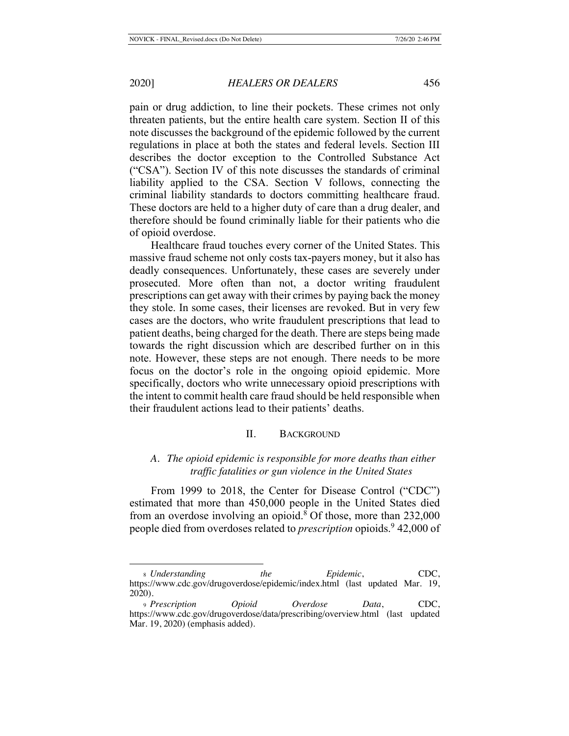pain or drug addiction, to line their pockets. These crimes not only threaten patients, but the entire health care system. Section II of this note discusses the background of the epidemic followed by the current regulations in place at both the states and federal levels. Section III describes the doctor exception to the Controlled Substance Act ("CSA"). Section IV of this note discusses the standards of criminal liability applied to the CSA. Section V follows, connecting the criminal liability standards to doctors committing healthcare fraud. These doctors are held to a higher duty of care than a drug dealer, and therefore should be found criminally liable for their patients who die of opioid overdose.

Healthcare fraud touches every corner of the United States. This massive fraud scheme not only costs tax-payers money, but it also has deadly consequences. Unfortunately, these cases are severely under prosecuted. More often than not, a doctor writing fraudulent prescriptions can get away with their crimes by paying back the money they stole. In some cases, their licenses are revoked. But in very few cases are the doctors, who write fraudulent prescriptions that lead to patient deaths, being charged for the death. There are steps being made towards the right discussion which are described further on in this note. However, these steps are not enough. There needs to be more focus on the doctor's role in the ongoing opioid epidemic. More specifically, doctors who write unnecessary opioid prescriptions with the intent to commit health care fraud should be held responsible when their fraudulent actions lead to their patients' deaths.

## II. BACKGROUND

## *A. The opioid epidemic is responsible for more deaths than either traffic fatalities or gun violence in the United States*

From 1999 to 2018, the Center for Disease Control ("CDC") estimated that more than 450,000 people in the United States died from an overdose involving an opioid.<sup>8</sup> Of those, more than 232,000 people died from overdoses related to *prescription* opioids.9 42,000 of

<sup>8</sup> *Understanding the Epidemic*, CDC, https://www.cdc.gov/drugoverdose/epidemic/index.html (last updated Mar. 19, 2020).

<sup>9</sup> *Prescription Opioid Overdose Data*, CDC, https://www.cdc.gov/drugoverdose/data/prescribing/overview.html (last updated Mar. 19, 2020) (emphasis added).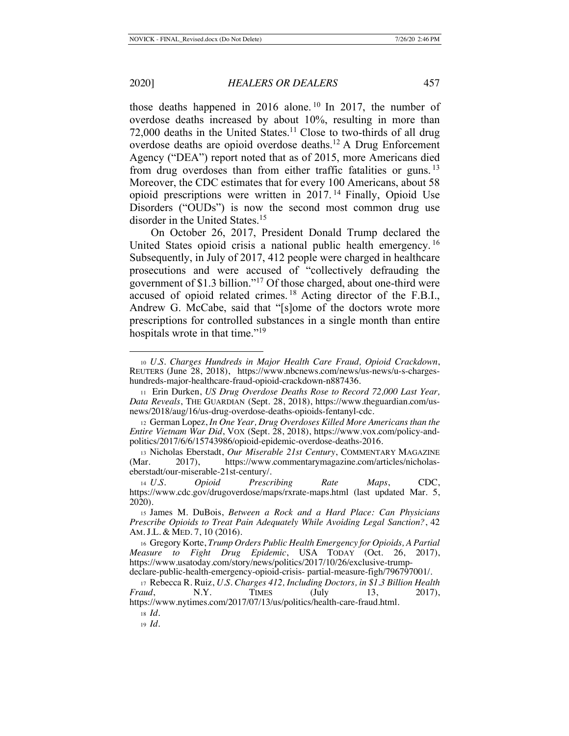those deaths happened in 2016 alone.<sup>10</sup> In 2017, the number of overdose deaths increased by about 10%, resulting in more than 72,000 deaths in the United States.<sup>11</sup> Close to two-thirds of all drug overdose deaths are opioid overdose deaths.12 A Drug Enforcement Agency ("DEA") report noted that as of 2015, more Americans died from drug overdoses than from either traffic fatalities or guns.<sup>13</sup> Moreover, the CDC estimates that for every 100 Americans, about 58 opioid prescriptions were written in 2017. 14 Finally, Opioid Use Disorders ("OUDs") is now the second most common drug use disorder in the United States.<sup>15</sup>

On October 26, 2017, President Donald Trump declared the United States opioid crisis a national public health emergency.<sup>16</sup> Subsequently, in July of 2017, 412 people were charged in healthcare prosecutions and were accused of "collectively defrauding the government of \$1.3 billion."17 Of those charged, about one-third were accused of opioid related crimes. 18 Acting director of the F.B.I., Andrew G. McCabe, said that "[s]ome of the doctors wrote more prescriptions for controlled substances in a single month than entire hospitals wrote in that time."<sup>19</sup>

<sup>10</sup> *U.S. Charges Hundreds in Major Health Care Fraud, Opioid Crackdown*, REUTERS (June 28, 2018), https://www.nbcnews.com/news/us-news/u-s-chargeshundreds-major-healthcare-fraud-opioid-crackdown-n887436.

<sup>11</sup> Erin Durken, *US Drug Overdose Deaths Rose to Record 72,000 Last Year, Data Reveals*, THE GUARDIAN (Sept. 28, 2018), https://www.theguardian.com/usnews/2018/aug/16/us-drug-overdose-deaths-opioids-fentanyl-cdc.

<sup>12</sup> German Lopez, *In One Year, Drug Overdoses Killed More Americans than the Entire Vietnam War Did*, VOX (Sept. 28, 2018), https://www.vox.com/policy-andpolitics/2017/6/6/15743986/opioid-epidemic-overdose-deaths-2016.

<sup>13</sup> Nicholas Eberstadt, *Our Miserable 21st Century*, COMMENTARY MAGAZINE (Mar. 2017), https://www.commentarymagazine.com/articles/nicholas-2017), https://www.commentarymagazine.com/articles/nicholaseberstadt/our-miserable-21st-century/.

<sup>14</sup> *U.S. Opioid Prescribing Rate Maps*, CDC, https://www.cdc.gov/drugoverdose/maps/rxrate-maps.html (last updated Mar. 5, 2020).

<sup>15</sup> James M. DuBois, *Between a Rock and a Hard Place: Can Physicians Prescribe Opioids to Treat Pain Adequately While Avoiding Legal Sanction?*, 42 AM. J.L. & MED. 7, 10 (2016).

<sup>16</sup> Gregory Korte, *Trump Orders Public Health Emergency for Opioids, A Partial Measure to Fight Drug Epidemic*, USA TODAY (Oct. 26, 2017), https://www.usatoday.com/story/news/politics/2017/10/26/exclusive-trump-

declare-public-health-emergency-opioid-crisis- partial-measure-figh/796797001/.

<sup>17</sup> Rebecca R. Ruiz, *U.S. Charges 412, Including Doctors, in \$1.3 Billion Health Fraud*, **N.Y.** TIMES (July 13, 2017), https://www.nytimes.com/2017/07/13/us/politics/health-care-fraud.html.

<sup>18</sup> *Id.*

<sup>19</sup> *Id.*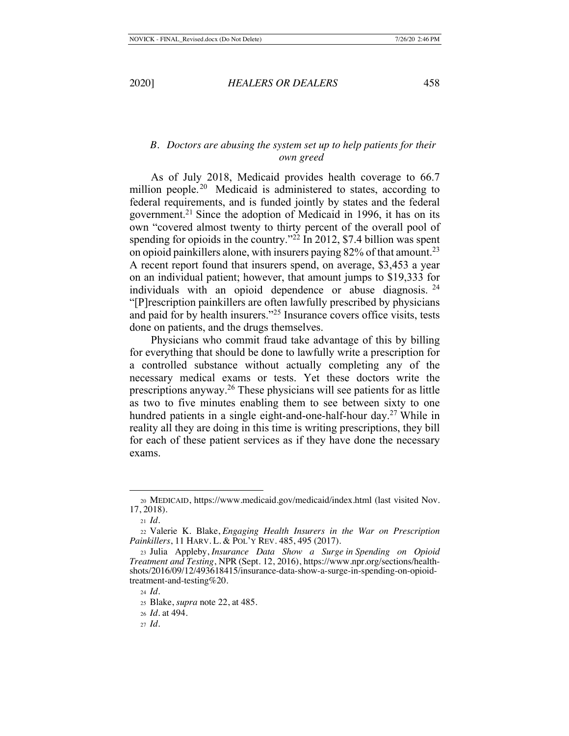## *B. Doctors are abusing the system set up to help patients for their own greed*

As of July 2018, Medicaid provides health coverage to 66.7 million people.<sup>20</sup> Medicaid is administered to states, according to federal requirements, and is funded jointly by states and the federal government.<sup>21</sup> Since the adoption of Medicaid in 1996, it has on its own "covered almost twenty to thirty percent of the overall pool of spending for opioids in the country."<sup>22</sup> In 2012, \$7.4 billion was spent on opioid painkillers alone, with insurers paying 82% of that amount.23 A recent report found that insurers spend, on average, \$3,453 a year on an individual patient; however, that amount jumps to \$19,333 for individuals with an opioid dependence or abuse diagnosis.  $24$ "[P]rescription painkillers are often lawfully prescribed by physicians and paid for by health insurers."25 Insurance covers office visits, tests done on patients, and the drugs themselves.

Physicians who commit fraud take advantage of this by billing for everything that should be done to lawfully write a prescription for a controlled substance without actually completing any of the necessary medical exams or tests. Yet these doctors write the prescriptions anyway.26 These physicians will see patients for as little as two to five minutes enabling them to see between sixty to one hundred patients in a single eight-and-one-half-hour day.<sup>27</sup> While in reality all they are doing in this time is writing prescriptions, they bill for each of these patient services as if they have done the necessary exams.

<sup>20</sup> MEDICAID, https://www.medicaid.gov/medicaid/index.html (last visited Nov. 17, 2018).

<sup>21</sup> *Id*.

<sup>22</sup> Valerie K. Blake, *Engaging Health Insurers in the War on Prescription Painkillers*, 11 HARV. L. & POL'Y REV. 485, 495 (2017).

<sup>23</sup> Julia Appleby, *Insurance Data Show a Surge in Spending on Opioid Treatment and Testing*, NPR (Sept. 12, 2016), https://www.npr.org/sections/healthshots/2016/09/12/493618415/insurance-data-show-a-surge-in-spending-on-opioidtreatment-and-testing%20.

<sup>24</sup> *Id.*

<sup>25</sup> Blake, *supra* note 22, at 485.

<sup>26</sup> *Id.* at 494.

<sup>27</sup> *Id.*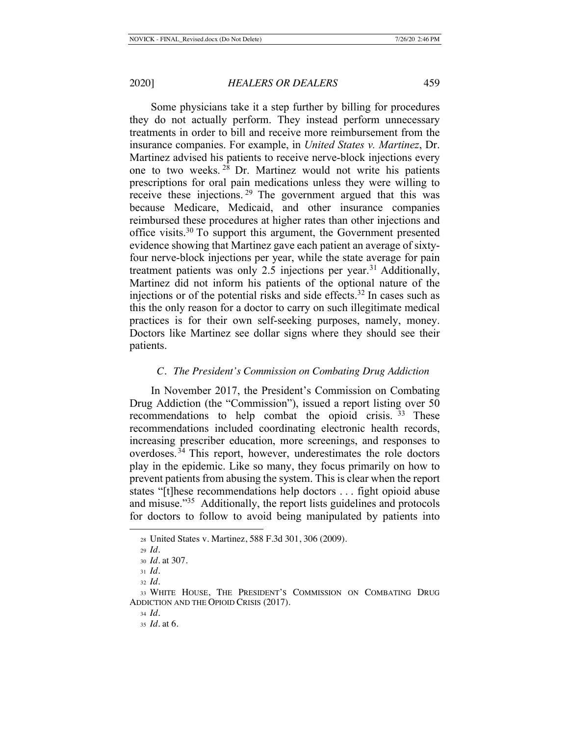Some physicians take it a step further by billing for procedures they do not actually perform. They instead perform unnecessary treatments in order to bill and receive more reimbursement from the insurance companies. For example, in *United States v. Martinez*, Dr. Martinez advised his patients to receive nerve-block injections every one to two weeks. 28 Dr. Martinez would not write his patients prescriptions for oral pain medications unless they were willing to receive these injections. 29 The government argued that this was because Medicare, Medicaid, and other insurance companies reimbursed these procedures at higher rates than other injections and office visits.30 To support this argument, the Government presented evidence showing that Martinez gave each patient an average of sixtyfour nerve-block injections per year, while the state average for pain treatment patients was only 2.5 injections per year.<sup>31</sup> Additionally, Martinez did not inform his patients of the optional nature of the injections or of the potential risks and side effects.<sup>32</sup> In cases such as this the only reason for a doctor to carry on such illegitimate medical practices is for their own self-seeking purposes, namely, money. Doctors like Martinez see dollar signs where they should see their patients.

### *C. The President's Commission on Combating Drug Addiction*

In November 2017, the President's Commission on Combating Drug Addiction (the "Commission"), issued a report listing over 50 recommendations to help combat the opioid crisis.<sup>33</sup> These recommendations included coordinating electronic health records, increasing prescriber education, more screenings, and responses to overdoses. 34 This report, however, underestimates the role doctors play in the epidemic. Like so many, they focus primarily on how to prevent patients from abusing the system. This is clear when the report states "[t]hese recommendations help doctors . . . fight opioid abuse and misuse."35 Additionally, the report lists guidelines and protocols for doctors to follow to avoid being manipulated by patients into

<sup>28</sup> United States v. Martinez, 588 F.3d 301, 306 (2009).

<sup>29</sup> *Id.*

<sup>30</sup> *Id.* at 307.

<sup>31</sup> *Id.*

<sup>32</sup> *Id.*

<sup>33</sup> WHITE HOUSE, THE PRESIDENT'S COMMISSION ON COMBATING DRUG ADDICTION AND THE OPIOID CRISIS (2017).

<sup>34</sup> *Id.*

<sup>35</sup> *Id*. at 6.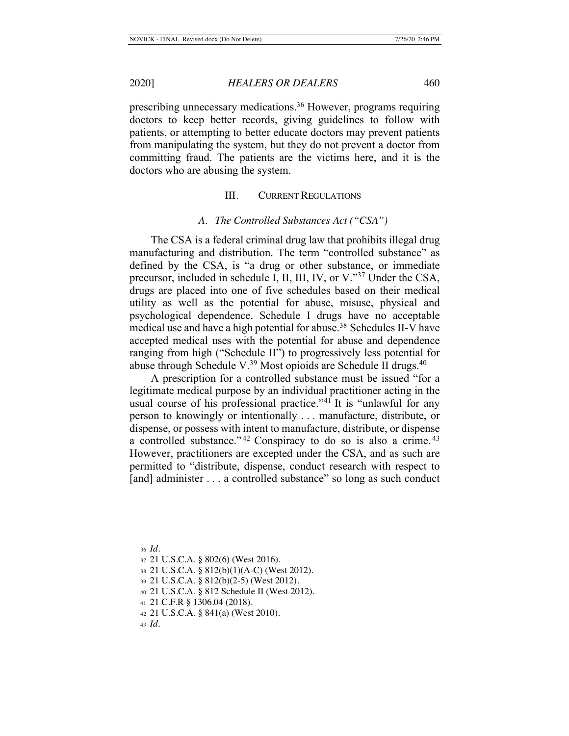prescribing unnecessary medications.36 However, programs requiring doctors to keep better records, giving guidelines to follow with patients, or attempting to better educate doctors may prevent patients from manipulating the system, but they do not prevent a doctor from committing fraud. The patients are the victims here, and it is the doctors who are abusing the system.

## III. CURRENT REGULATIONS

#### *A. The Controlled Substances Act ("CSA")*

The CSA is a federal criminal drug law that prohibits illegal drug manufacturing and distribution. The term "controlled substance" as defined by the CSA, is "a drug or other substance, or immediate precursor, included in schedule I, II, III, IV, or V."37 Under the CSA, drugs are placed into one of five schedules based on their medical utility as well as the potential for abuse, misuse, physical and psychological dependence. Schedule I drugs have no acceptable medical use and have a high potential for abuse.<sup>38</sup> Schedules II-V have accepted medical uses with the potential for abuse and dependence ranging from high ("Schedule II") to progressively less potential for abuse through Schedule V.<sup>39</sup> Most opioids are Schedule II drugs.<sup>40</sup>

A prescription for a controlled substance must be issued "for a legitimate medical purpose by an individual practitioner acting in the usual course of his professional practice."<sup>41</sup> It is "unlawful for any person to knowingly or intentionally . . . manufacture, distribute, or dispense, or possess with intent to manufacture, distribute, or dispense a controlled substance." 42 Conspiracy to do so is also a crime. <sup>43</sup> However, practitioners are excepted under the CSA, and as such are permitted to "distribute, dispense, conduct research with respect to [and] administer . . . a controlled substance" so long as such conduct

<sup>36</sup> *Id.*

<sup>37</sup> 21 U.S.C.A. § 802(6) (West 2016).

<sup>38</sup> 21 U.S.C.A. § 812(b)(1)(A-C) (West 2012).

<sup>39</sup> 21 U.S.C.A. § 812(b)(2-5) (West 2012).

<sup>40</sup> 21 U.S.C.A. § 812 Schedule II (West 2012).

<sup>41</sup> 21 C.F.R § 1306.04 (2018).

<sup>42</sup> 21 U.S.C.A. § 841(a) (West 2010).

<sup>43</sup> *Id.*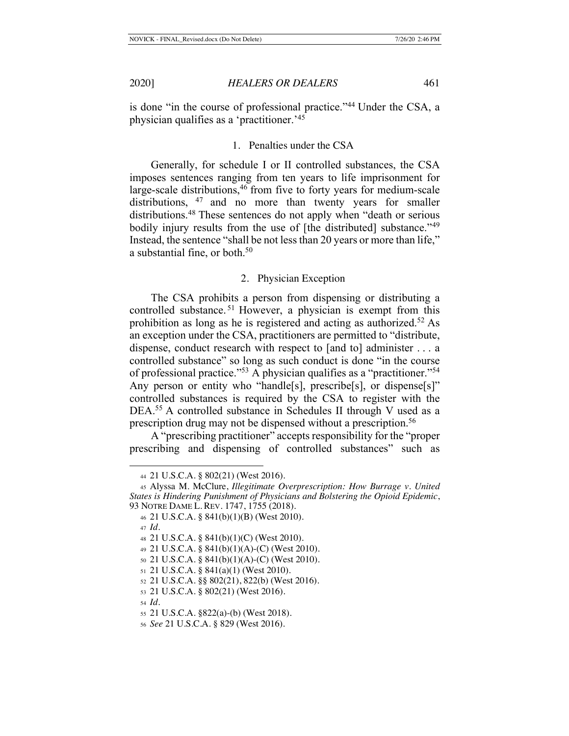is done "in the course of professional practice."44 Under the CSA, a physician qualifies as a 'practitioner.'45

### 1. Penalties under the CSA

Generally, for schedule I or II controlled substances, the CSA imposes sentences ranging from ten years to life imprisonment for large-scale distributions,<sup>46</sup> from five to forty years for medium-scale distributions, <sup>47</sup> and no more than twenty years for smaller distributions.48 These sentences do not apply when "death or serious bodily injury results from the use of [the distributed] substance."<sup>49</sup> Instead, the sentence "shall be not less than 20 years or more than life," a substantial fine, or both.<sup>50</sup>

## 2. Physician Exception

The CSA prohibits a person from dispensing or distributing a controlled substance. 51 However, a physician is exempt from this prohibition as long as he is registered and acting as authorized.52 As an exception under the CSA, practitioners are permitted to "distribute, dispense, conduct research with respect to [and to] administer . . . a controlled substance" so long as such conduct is done "in the course of professional practice."53 A physician qualifies as a "practitioner."54 Any person or entity who "handle[s], prescribe[s], or dispense[s]" controlled substances is required by the CSA to register with the DEA.<sup>55</sup> A controlled substance in Schedules II through V used as a prescription drug may not be dispensed without a prescription.56

A "prescribing practitioner" accepts responsibility for the "proper prescribing and dispensing of controlled substances" such as

<sup>44</sup> 21 U.S.C.A. § 802(21) (West 2016).

<sup>45</sup> Alyssa M. McClure, *Illegitimate Overprescription: How Burrage v. United States is Hindering Punishment of Physicians and Bolstering the Opioid Epidemic*, 93 NOTRE DAME L. REV. 1747, 1755 (2018).

<sup>46</sup> 21 U.S.C.A. § 841(b)(1)(B) (West 2010).

<sup>47</sup> *Id.*

<sup>48</sup> 21 U.S.C.A. § 841(b)(1)(C) (West 2010).

<sup>49</sup> 21 U.S.C.A. § 841(b)(1)(A)-(C) (West 2010).

<sup>50</sup> 21 U.S.C.A. § 841(b)(1)(A)-(C) (West 2010).

<sup>51</sup> 21 U.S.C.A. § 841(a)(1) (West 2010).

<sup>52</sup> 21 U.S.C.A. §§ 802(21), 822(b) (West 2016).

<sup>53</sup> 21 U.S.C.A. § 802(21) (West 2016).

<sup>54</sup> *Id.*

<sup>55</sup> 21 U.S.C.A. §822(a)-(b) (West 2018).

<sup>56</sup> *See* 21 U.S.C.A. § 829 (West 2016).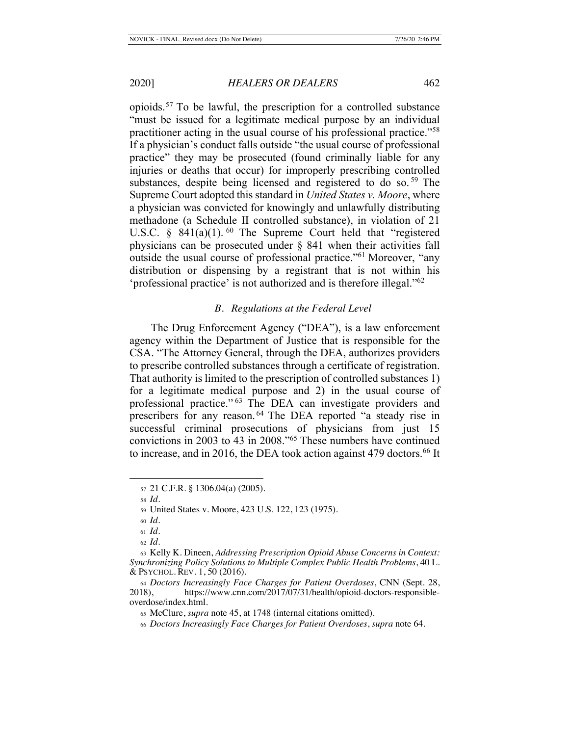opioids.57 To be lawful, the prescription for a controlled substance "must be issued for a legitimate medical purpose by an individual practitioner acting in the usual course of his professional practice."58 If a physician's conduct falls outside "the usual course of professional practice" they may be prosecuted (found criminally liable for any injuries or deaths that occur) for improperly prescribing controlled substances, despite being licensed and registered to do so.<sup>59</sup> The Supreme Court adopted this standard in *United States v. Moore*, where a physician was convicted for knowingly and unlawfully distributing methadone (a Schedule II controlled substance), in violation of 21 U.S.C.  $\S$  841(a)(1). <sup>60</sup> The Supreme Court held that "registered" physicians can be prosecuted under § 841 when their activities fall outside the usual course of professional practice."61 Moreover, "any distribution or dispensing by a registrant that is not within his 'professional practice' is not authorized and is therefore illegal."62

### *B. Regulations at the Federal Level*

The Drug Enforcement Agency ("DEA"), is a law enforcement agency within the Department of Justice that is responsible for the CSA. "The Attorney General, through the DEA, authorizes providers to prescribe controlled substances through a certificate of registration. That authority is limited to the prescription of controlled substances 1) for a legitimate medical purpose and 2) in the usual course of professional practice."<sup>63</sup> The DEA can investigate providers and prescribers for any reason. 64 The DEA reported "a steady rise in successful criminal prosecutions of physicians from just 15 convictions in 2003 to 43 in 2008."65 These numbers have continued to increase, and in 2016, the DEA took action against 479 doctors.<sup>66</sup> It

<sup>57</sup> 21 C.F.R. § 1306.04(a) (2005).

<sup>58</sup> *Id.*

<sup>59</sup> United States v. Moore, 423 U.S. 122, 123 (1975).

<sup>60</sup> *Id.*

<sup>61</sup> *Id.*

<sup>62</sup> *Id.*

<sup>63</sup> Kelly K. Dineen, *Addressing Prescription Opioid Abuse Concerns in Context: Synchronizing Policy Solutions to Multiple Complex Public Health Problems*, 40 L. & PSYCHOL. REV. 1, 50 (2016).

<sup>&</sup>lt;sup>64</sup> *Doctors Increasingly Face Charges for Patient Overdoses*, CNN (Sept. 28, 2018).<br>
2018). https://www.cnn.com/2017/07/31/health/opioid-doctors-responsiblehttps://www.cnn.com/2017/07/31/health/opioid-doctors-responsibleoverdose/index.html.

<sup>65</sup> McClure, *supra* note 45, at 1748 (internal citations omitted).

<sup>66</sup> *Doctors Increasingly Face Charges for Patient Overdoses*, *supra* note 64.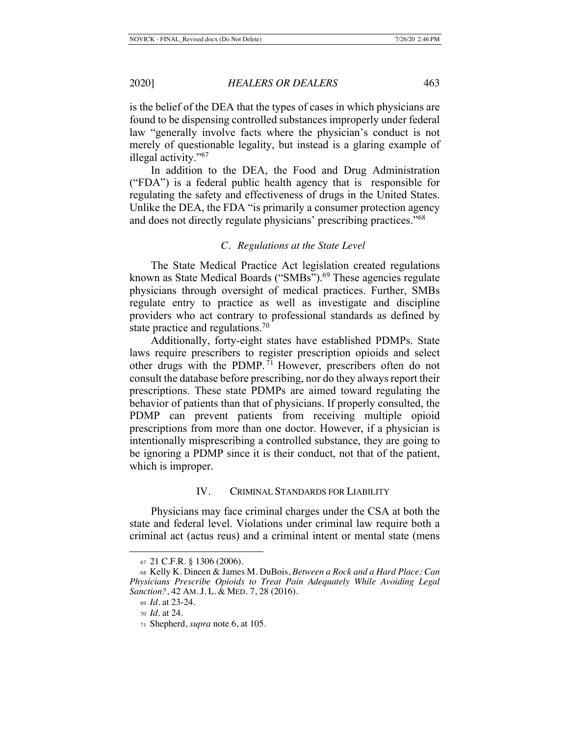is the belief of the DEA that the types of cases in which physicians are found to be dispensing controlled substances improperly under federal law "generally involve facts where the physician's conduct is not merely of questionable legality, but instead is a glaring example of illegal activity."67

In addition to the DEA, the Food and Drug Administration ("FDA") is a federal public health agency that is responsible for regulating the safety and effectiveness of drugs in the United States. Unlike the DEA, the FDA "is primarily a consumer protection agency and does not directly regulate physicians' prescribing practices."68

#### *C. Regulations at the State Level*

The State Medical Practice Act legislation created regulations known as State Medical Boards ("SMBs").<sup>69</sup> These agencies regulate physicians through oversight of medical practices. Further, SMBs regulate entry to practice as well as investigate and discipline providers who act contrary to professional standards as defined by state practice and regulations.<sup>70</sup>

Additionally, forty-eight states have established PDMPs. State laws require prescribers to register prescription opioids and select other drugs with the PDMP. 71 However, prescribers often do not consult the database before prescribing, nor do they always report their prescriptions. These state PDMPs are aimed toward regulating the behavior of patients than that of physicians. If properly consulted, the PDMP can prevent patients from receiving multiple opioid prescriptions from more than one doctor. However, if a physician is intentionally misprescribing a controlled substance, they are going to be ignoring a PDMP since it is their conduct, not that of the patient, which is improper.

## IV. CRIMINAL STANDARDS FOR LIABILITY

Physicians may face criminal charges under the CSA at both the state and federal level. Violations under criminal law require both a criminal act (actus reus) and a criminal intent or mental state (mens

<sup>67</sup> 21 C.F.R. § 1306 (2006).

<sup>68</sup> Kelly K. Dineen & James M. DuBois, *Between a Rock and a Hard Place: Can Physicians Prescribe Opioids to Treat Pain Adequately While Avoiding Legal Sanction?*, 42 AM. J. L. & MED. 7, 28 (2016).

<sup>69</sup> *Id.* at 23-24.

<sup>70</sup> *Id.* at 24.

<sup>71</sup> Shepherd, *supra* note 6, at 105.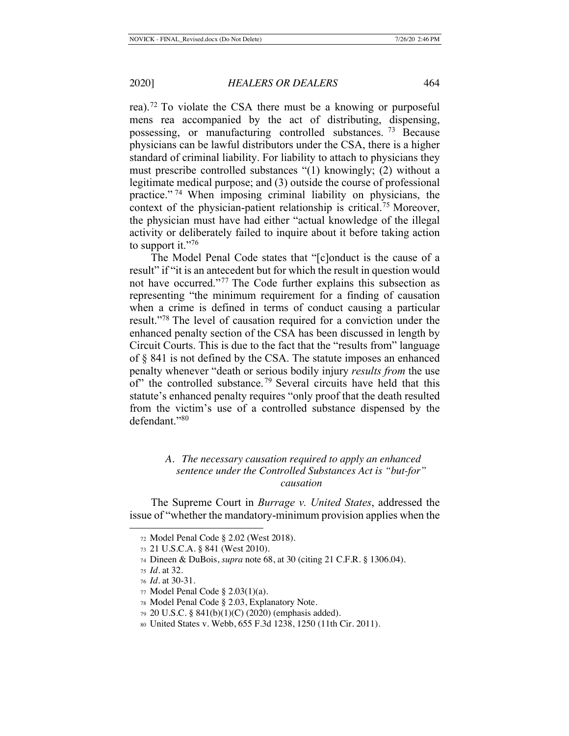rea).72 To violate the CSA there must be a knowing or purposeful mens rea accompanied by the act of distributing, dispensing, possessing, or manufacturing controlled substances. 73 Because physicians can be lawful distributors under the CSA, there is a higher standard of criminal liability. For liability to attach to physicians they must prescribe controlled substances "(1) knowingly; (2) without a legitimate medical purpose; and (3) outside the course of professional practice." 74 When imposing criminal liability on physicians, the context of the physician-patient relationship is critical.75 Moreover, the physician must have had either "actual knowledge of the illegal activity or deliberately failed to inquire about it before taking action to support it."76

The Model Penal Code states that "[c]onduct is the cause of a result" if "it is an antecedent but for which the result in question would not have occurred."77 The Code further explains this subsection as representing "the minimum requirement for a finding of causation when a crime is defined in terms of conduct causing a particular result."78 The level of causation required for a conviction under the enhanced penalty section of the CSA has been discussed in length by Circuit Courts. This is due to the fact that the "results from" language of § 841 is not defined by the CSA. The statute imposes an enhanced penalty whenever "death or serious bodily injury *results from* the use of" the controlled substance.<sup>79</sup> Several circuits have held that this statute's enhanced penalty requires "only proof that the death resulted from the victim's use of a controlled substance dispensed by the defendant."80

## *A. The necessary causation required to apply an enhanced sentence under the Controlled Substances Act is "but-for" causation*

The Supreme Court in *Burrage v. United States*, addressed the issue of "whether the mandatory-minimum provision applies when the

<sup>72</sup> Model Penal Code § 2.02 (West 2018).

<sup>73</sup> 21 U.S.C.A. § 841 (West 2010).

<sup>74</sup> Dineen & DuBois, *supra* note 68, at 30 (citing 21 C.F.R. § 1306.04).

<sup>75</sup> *Id.* at 32.

<sup>76</sup> *Id.* at 30-31.

<sup>77</sup> Model Penal Code § 2.03(1)(a).

<sup>78</sup> Model Penal Code § 2.03, Explanatory Note.

<sup>79</sup> 20 U.S.C. § 841(b)(1)(C) (2020) (emphasis added).

<sup>80</sup> United States v. Webb, 655 F.3d 1238, 1250 (11th Cir. 2011).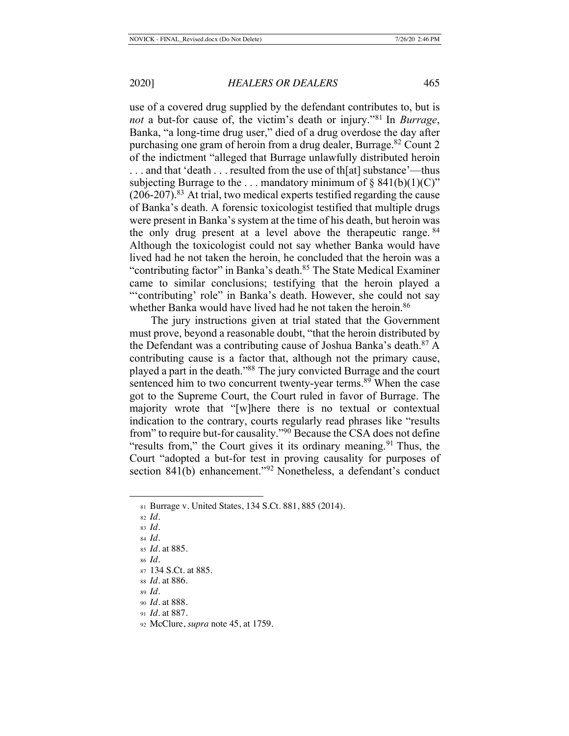use of a covered drug supplied by the defendant contributes to, but is *not* a but-for cause of, the victim's death or injury."81 In *Burrage*, Banka, "a long-time drug user," died of a drug overdose the day after purchasing one gram of heroin from a drug dealer, Burrage.<sup>82</sup> Count 2 of the indictment "alleged that Burrage unlawfully distributed heroin . . . and that 'death . . . resulted from the use of th[at] substance'—thus subjecting Burrage to the ... mandatory minimum of  $\S$  841(b)(1)(C)"  $(206-207)$ <sup>83</sup>. At trial, two medical experts testified regarding the cause of Banka's death. A forensic toxicologist testified that multiple drugs were present in Banka's system at the time of his death, but heroin was the only drug present at a level above the therapeutic range. <sup>84</sup> Although the toxicologist could not say whether Banka would have lived had he not taken the heroin, he concluded that the heroin was a "contributing factor" in Banka's death.<sup>85</sup> The State Medical Examiner came to similar conclusions; testifying that the heroin played a "'contributing' role" in Banka's death. However, she could not say whether Banka would have lived had he not taken the heroin.<sup>86</sup>

The jury instructions given at trial stated that the Government must prove, beyond a reasonable doubt, "that the heroin distributed by the Defendant was a contributing cause of Joshua Banka's death.<sup>87</sup> A contributing cause is a factor that, although not the primary cause, played a part in the death."88 The jury convicted Burrage and the court sentenced him to two concurrent twenty-year terms.<sup>89</sup> When the case got to the Supreme Court, the Court ruled in favor of Burrage. The majority wrote that "[w]here there is no textual or contextual indication to the contrary, courts regularly read phrases like "results from" to require but-for causality."90 Because the CSA does not define "results from," the Court gives it its ordinary meaning.<sup>91</sup> Thus, the Court "adopted a but-for test in proving causality for purposes of section 841(b) enhancement."<sup>92</sup> Nonetheless, a defendant's conduct

- <sup>91</sup> *Id.* at 887.
- <sup>92</sup> McClure, *supra* note 45, at 1759.

<sup>81</sup> Burrage v. United States, 134 S.Ct. 881, 885 (2014).

<sup>82</sup> *Id.*

<sup>83</sup> *Id.*

<sup>84</sup> *Id.*

<sup>85</sup> *Id*. at 885.

<sup>86</sup> *Id.*

<sup>87</sup> 134 S.Ct. at 885.

<sup>88</sup> *Id*. at 886.

<sup>89</sup> *Id.*

<sup>90</sup> *Id.* at 888.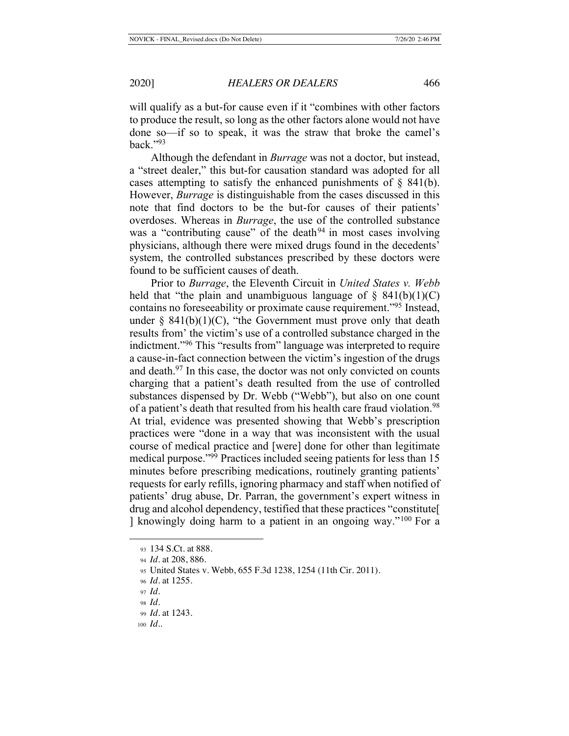will qualify as a but-for cause even if it "combines with other factors to produce the result, so long as the other factors alone would not have done so—if so to speak, it was the straw that broke the camel's back." $93$ 

Although the defendant in *Burrage* was not a doctor, but instead, a "street dealer," this but-for causation standard was adopted for all cases attempting to satisfy the enhanced punishments of  $\S$  841(b). However, *Burrage* is distinguishable from the cases discussed in this note that find doctors to be the but-for causes of their patients' overdoses. Whereas in *Burrage*, the use of the controlled substance was a "contributing cause" of the death<sup>94</sup> in most cases involving physicians, although there were mixed drugs found in the decedents' system, the controlled substances prescribed by these doctors were found to be sufficient causes of death.

Prior to *Burrage*, the Eleventh Circuit in *United States v. Webb* held that "the plain and unambiguous language of  $\S$  841(b)(1)(C) contains no foreseeability or proximate cause requirement."95 Instead, under  $\S$  841(b)(1)(C), "the Government must prove only that death results from' the victim's use of a controlled substance charged in the indictment."96 This "results from" language was interpreted to require a cause-in-fact connection between the victim's ingestion of the drugs and death. $97$  In this case, the doctor was not only convicted on counts charging that a patient's death resulted from the use of controlled substances dispensed by Dr. Webb ("Webb"), but also on one count of a patient's death that resulted from his health care fraud violation.<sup>98</sup> At trial, evidence was presented showing that Webb's prescription practices were "done in a way that was inconsistent with the usual course of medical practice and [were] done for other than legitimate medical purpose."99 Practices included seeing patients for less than 15 minutes before prescribing medications, routinely granting patients' requests for early refills, ignoring pharmacy and staff when notified of patients' drug abuse, Dr. Parran, the government's expert witness in drug and alcohol dependency, testified that these practices "constitute[ ] knowingly doing harm to a patient in an ongoing way."100 For a

<sup>93</sup> 134 S.Ct. at 888.

<sup>94</sup> *Id.* at 208, 886.

<sup>95</sup> United States v. Webb, 655 F.3d 1238, 1254 (11th Cir. 2011).

<sup>96</sup> *Id.* at 1255.

<sup>97</sup> *Id.*

<sup>98</sup> *Id.*

<sup>99</sup> *Id.* at 1243.

<sup>100</sup> *Id.*.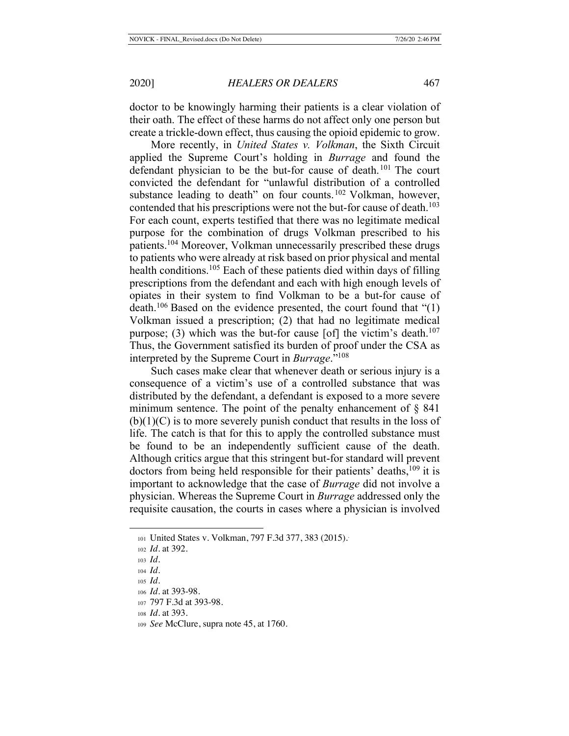doctor to be knowingly harming their patients is a clear violation of their oath. The effect of these harms do not affect only one person but create a trickle-down effect, thus causing the opioid epidemic to grow.

More recently, in *United States v. Volkman*, the Sixth Circuit applied the Supreme Court's holding in *Burrage* and found the defendant physician to be the but-for cause of death.<sup>101</sup> The court convicted the defendant for "unlawful distribution of a controlled substance leading to death" on four counts.<sup>102</sup> Volkman, however, contended that his prescriptions were not the but-for cause of death.<sup>103</sup> For each count, experts testified that there was no legitimate medical purpose for the combination of drugs Volkman prescribed to his patients.104 Moreover, Volkman unnecessarily prescribed these drugs to patients who were already at risk based on prior physical and mental health conditions.<sup>105</sup> Each of these patients died within days of filling prescriptions from the defendant and each with high enough levels of opiates in their system to find Volkman to be a but-for cause of death.<sup>106</sup> Based on the evidence presented, the court found that " $(1)$ " Volkman issued a prescription; (2) that had no legitimate medical purpose; (3) which was the but-for cause [of] the victim's death.<sup>107</sup> Thus, the Government satisfied its burden of proof under the CSA as interpreted by the Supreme Court in *Burrage*."108

Such cases make clear that whenever death or serious injury is a consequence of a victim's use of a controlled substance that was distributed by the defendant, a defendant is exposed to a more severe minimum sentence. The point of the penalty enhancement of  $\S$  841  $(b)(1)(C)$  is to more severely punish conduct that results in the loss of life. The catch is that for this to apply the controlled substance must be found to be an independently sufficient cause of the death. Although critics argue that this stringent but-for standard will prevent doctors from being held responsible for their patients' deaths, $109$  it is important to acknowledge that the case of *Burrage* did not involve a physician. Whereas the Supreme Court in *Burrage* addressed only the requisite causation, the courts in cases where a physician is involved

<sup>101</sup> United States v. Volkman, 797 F.3d 377, 383 (2015).

<sup>102</sup> *Id.* at 392.

<sup>103</sup> *Id.*

<sup>104</sup> *Id.*

<sup>105</sup> *Id.*

<sup>106</sup> *Id.* at 393-98.

<sup>107</sup> 797 F.3d at 393-98.

<sup>108</sup> *Id.* at 393.

<sup>109</sup> *See* McClure, supra note 45, at 1760.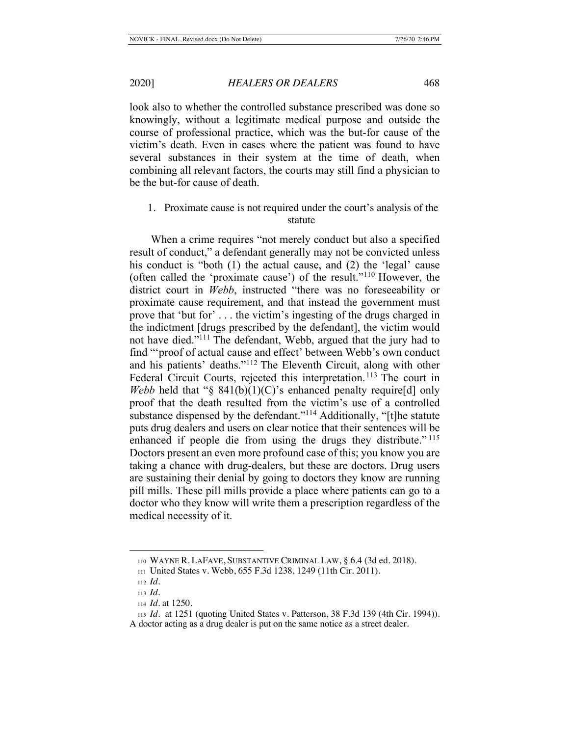look also to whether the controlled substance prescribed was done so knowingly, without a legitimate medical purpose and outside the course of professional practice, which was the but-for cause of the victim's death. Even in cases where the patient was found to have several substances in their system at the time of death, when combining all relevant factors, the courts may still find a physician to be the but-for cause of death.

## 1. Proximate cause is not required under the court's analysis of the statute

When a crime requires "not merely conduct but also a specified result of conduct," a defendant generally may not be convicted unless his conduct is "both (1) the actual cause, and (2) the 'legal' cause (often called the 'proximate cause') of the result."110 However, the district court in *Webb*, instructed "there was no foreseeability or proximate cause requirement, and that instead the government must prove that 'but for' . . . the victim's ingesting of the drugs charged in the indictment [drugs prescribed by the defendant], the victim would not have died."111 The defendant, Webb, argued that the jury had to find "'proof of actual cause and effect' between Webb's own conduct and his patients' deaths."112 The Eleventh Circuit, along with other Federal Circuit Courts, rejected this interpretation.<sup>113</sup> The court in *Webb* held that " $\S$  841(b)(1)(C)'s enhanced penalty require[d] only proof that the death resulted from the victim's use of a controlled substance dispensed by the defendant."<sup>114</sup> Additionally, "[t]he statute puts drug dealers and users on clear notice that their sentences will be enhanced if people die from using the drugs they distribute."<sup>115</sup> Doctors present an even more profound case of this; you know you are taking a chance with drug-dealers, but these are doctors. Drug users are sustaining their denial by going to doctors they know are running pill mills. These pill mills provide a place where patients can go to a doctor who they know will write them a prescription regardless of the medical necessity of it.

<sup>110</sup> WAYNE R. LAFAVE, SUBSTANTIVE CRIMINAL LAW, § 6.4 (3d ed. 2018).

<sup>111</sup> United States v. Webb, 655 F.3d 1238, 1249 (11th Cir. 2011).

<sup>112</sup> *Id.*

<sup>113</sup> *Id.*

<sup>114</sup> *Id.* at 1250.

<sup>115</sup> *Id.* at 1251 (quoting United States v. Patterson, 38 F.3d 139 (4th Cir. 1994)).

A doctor acting as a drug dealer is put on the same notice as a street dealer.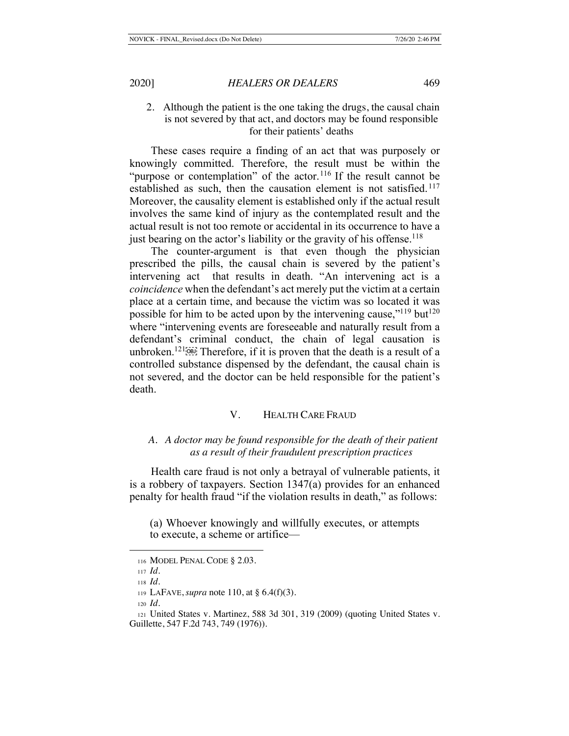## 2. Although the patient is the one taking the drugs, the causal chain is not severed by that act, and doctors may be found responsible for their patients' deaths

These cases require a finding of an act that was purposely or knowingly committed. Therefore, the result must be within the "purpose or contemplation" of the actor.<sup>116</sup> If the result cannot be established as such, then the causation element is not satisfied.<sup>117</sup> Moreover, the causality element is established only if the actual result involves the same kind of injury as the contemplated result and the actual result is not too remote or accidental in its occurrence to have a just bearing on the actor's liability or the gravity of his offense.<sup>118</sup>

The counter-argument is that even though the physician prescribed the pills, the causal chain is severed by the patient's intervening act that results in death. "An intervening act is a *coincidence* when the defendant's act merely put the victim at a certain place at a certain time, and because the victim was so located it was possible for him to be acted upon by the intervening cause," $^{119}$  but $^{120}$ where "intervening events are foreseeable and naturally result from a defendant's criminal conduct, the chain of legal causation is unbroken.<sup>121 $\overline{1}$ [08]</sub>. Therefore, if it is proven that the death is a result of a</sup> controlled substance dispensed by the defendant, the causal chain is not severed, and the doctor can be held responsible for the patient's death.

## V. HEALTH CARE FRAUD

## *A. A doctor may be found responsible for the death of their patient as a result of their fraudulent prescription practices*

Health care fraud is not only a betrayal of vulnerable patients, it is a robbery of taxpayers. Section 1347(a) provides for an enhanced penalty for health fraud "if the violation results in death," as follows:

(a) Whoever knowingly and willfully executes, or attempts to execute, a scheme or artifice—

<sup>116</sup> MODEL PENAL CODE § 2.03.

<sup>117</sup> *Id.* <sup>118</sup> *Id.*

<sup>119</sup> LAFAVE, *supra* note 110, at § 6.4(f)(3).

<sup>120</sup> *Id.*

<sup>121</sup> United States v. Martinez, 588 3d 301, 319 (2009) (quoting United States v. Guillette, 547 F.2d 743, 749 (1976)).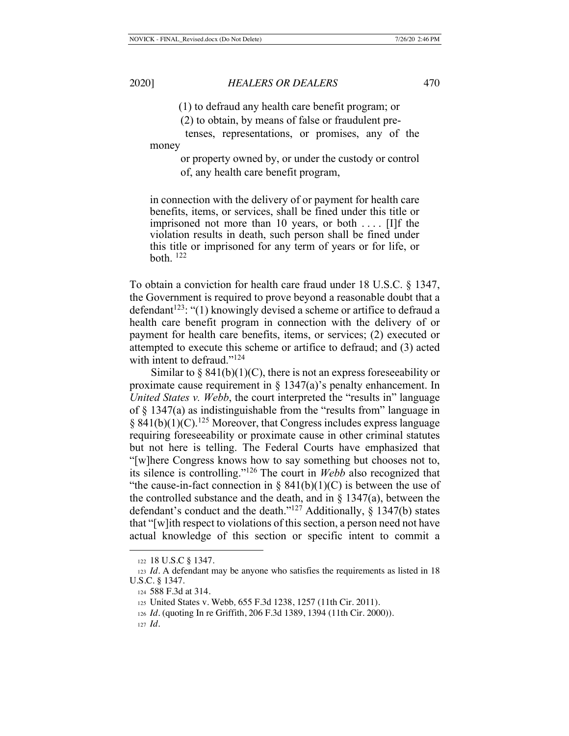(1) to defraud any health care benefit program; or

(2) to obtain, by means of false or fraudulent pre-

 tenses, representations, or promises, any of the money

> or property owned by, or under the custody or control of, any health care benefit program,

in connection with the delivery of or payment for health care benefits, items, or services, shall be fined under this title or imprisoned not more than 10 years, or both . . . . [I]f the violation results in death, such person shall be fined under this title or imprisoned for any term of years or for life, or both.  $^{122}$ 

To obtain a conviction for health care fraud under 18 U.S.C. § 1347, the Government is required to prove beyond a reasonable doubt that a defendant<sup>123</sup>: "(1) knowingly devised a scheme or artifice to defraud a health care benefit program in connection with the delivery of or payment for health care benefits, items, or services; (2) executed or attempted to execute this scheme or artifice to defraud; and (3) acted with intent to defraud."<sup>124</sup>

Similar to  $\S 841(b)(1)(C)$ , there is not an express foreseeability or proximate cause requirement in  $\S 1347(a)$ 's penalty enhancement. In *United States v. Webb*, the court interpreted the "results in" language of  $\S$  1347(a) as indistinguishable from the "results from" language in  $§ 841(b)(1)(C).<sup>125</sup> Moreover, that Congress includes express language$ requiring foreseeability or proximate cause in other criminal statutes but not here is telling. The Federal Courts have emphasized that "[w]here Congress knows how to say something but chooses not to, its silence is controlling."126 The court in *Webb* also recognized that "the cause-in-fact connection in  $\S$  841(b)(1)(C) is between the use of the controlled substance and the death, and in  $\S$  1347(a), between the defendant's conduct and the death."<sup>127</sup> Additionally,  $\S$  1347(b) states that "[w]ith respect to violations of this section, a person need not have actual knowledge of this section or specific intent to commit a

<sup>122</sup> 18 U.S.C § 1347.

<sup>123</sup> *Id.* A defendant may be anyone who satisfies the requirements as listed in 18 U.S.C. § 1347.

<sup>124</sup> 588 F.3d at 314.

<sup>125</sup> United States v. Webb*,* 655 F.3d 1238, 1257 (11th Cir. 2011).

<sup>126</sup> *Id.* (quoting In re Griffith, 206 F.3d 1389, 1394 (11th Cir. 2000)).

<sup>127</sup> *Id.*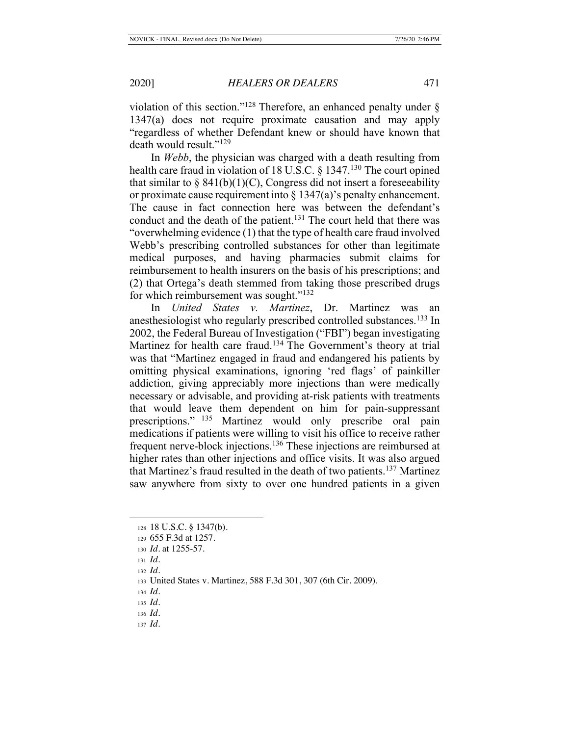violation of this section."<sup>128</sup> Therefore, an enhanced penalty under  $\S$ 1347(a) does not require proximate causation and may apply "regardless of whether Defendant knew or should have known that death would result."129

In *Webb*, the physician was charged with a death resulting from health care fraud in violation of 18 U.S.C. § 1347.<sup>130</sup> The court opined that similar to  $\S$  841(b)(1)(C), Congress did not insert a foreseeability or proximate cause requirement into  $\S 1347(a)$ 's penalty enhancement. The cause in fact connection here was between the defendant's conduct and the death of the patient.<sup>131</sup> The court held that there was "overwhelming evidence (1) that the type of health care fraud involved Webb's prescribing controlled substances for other than legitimate medical purposes, and having pharmacies submit claims for reimbursement to health insurers on the basis of his prescriptions; and (2) that Ortega's death stemmed from taking those prescribed drugs for which reimbursement was sought."<sup>132</sup>

In *United States v. Martinez*, Dr. Martinez was an anesthesiologist who regularly prescribed controlled substances.<sup>133</sup> In 2002, the Federal Bureau of Investigation ("FBI") began investigating Martinez for health care fraud.<sup>134</sup> The Government's theory at trial was that "Martinez engaged in fraud and endangered his patients by omitting physical examinations, ignoring 'red flags' of painkiller addiction, giving appreciably more injections than were medically necessary or advisable, and providing at-risk patients with treatments that would leave them dependent on him for pain-suppressant prescriptions." 135 Martinez would only prescribe oral pain medications if patients were willing to visit his office to receive rather frequent nerve-block injections.136 These injections are reimbursed at higher rates than other injections and office visits. It was also argued that Martinez's fraud resulted in the death of two patients.137 Martinez saw anywhere from sixty to over one hundred patients in a given

<sup>137</sup> *Id.*

<sup>128</sup> 18 U.S.C. § 1347(b).

<sup>129</sup> 655 F.3d at 1257.

<sup>130</sup> *Id.* at 1255-57.

<sup>131</sup> *Id.*

<sup>132</sup> *Id.*

<sup>133</sup> United States v. Martinez, 588 F.3d 301, 307 (6th Cir. 2009).

<sup>134</sup> *Id.*

<sup>135</sup> *Id.*

<sup>136</sup> *Id.*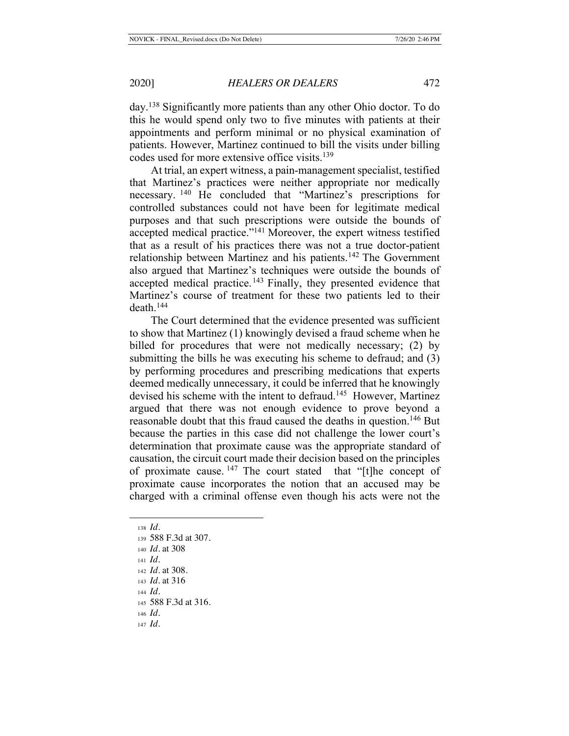day.138 Significantly more patients than any other Ohio doctor. To do this he would spend only two to five minutes with patients at their appointments and perform minimal or no physical examination of patients. However, Martinez continued to bill the visits under billing codes used for more extensive office visits.<sup>139</sup>

At trial, an expert witness, a pain-management specialist, testified that Martinez's practices were neither appropriate nor medically necessary. 140 He concluded that "Martinez's prescriptions for controlled substances could not have been for legitimate medical purposes and that such prescriptions were outside the bounds of accepted medical practice."141 Moreover, the expert witness testified that as a result of his practices there was not a true doctor-patient relationship between Martinez and his patients.142 The Government also argued that Martinez's techniques were outside the bounds of accepted medical practice.<sup>143</sup> Finally, they presented evidence that Martinez's course of treatment for these two patients led to their death.144

The Court determined that the evidence presented was sufficient to show that Martinez (1) knowingly devised a fraud scheme when he billed for procedures that were not medically necessary; (2) by submitting the bills he was executing his scheme to defraud; and (3) by performing procedures and prescribing medications that experts deemed medically unnecessary, it could be inferred that he knowingly devised his scheme with the intent to defraud.<sup>145</sup> However, Martinez argued that there was not enough evidence to prove beyond a reasonable doubt that this fraud caused the deaths in question.<sup>146</sup> But because the parties in this case did not challenge the lower court's determination that proximate cause was the appropriate standard of causation, the circuit court made their decision based on the principles of proximate cause. 147 The court stated that "[t]he concept of proximate cause incorporates the notion that an accused may be charged with a criminal offense even though his acts were not the

- <sup>138</sup> *Id.*
- <sup>139</sup> 588 F.3d at 307.
- <sup>140</sup> *Id.* at 308
- <sup>141</sup> *Id.*
- <sup>142</sup> *Id.* at 308.
- <sup>143</sup> *Id.* at 316
- <sup>144</sup> *Id.*
- <sup>145</sup> 588 F.3d at 316.
- <sup>146</sup> *Id.*
- <sup>147</sup> *Id.*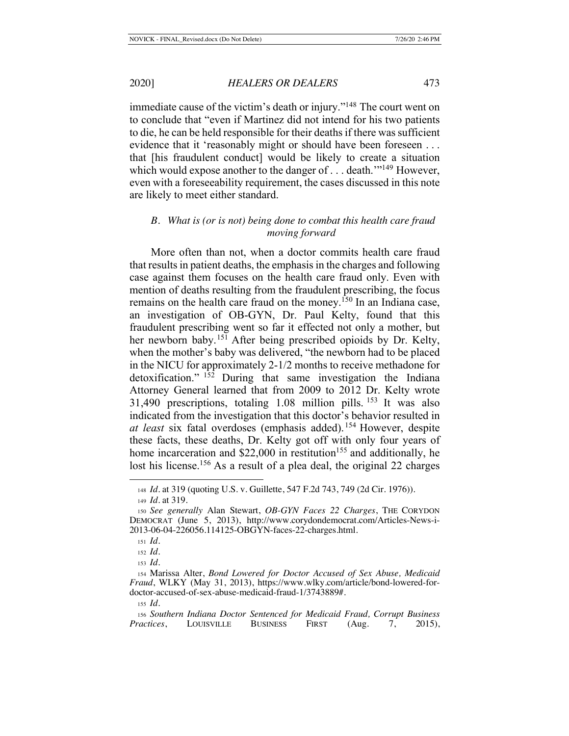immediate cause of the victim's death or injury."148 The court went on to conclude that "even if Martinez did not intend for his two patients to die, he can be held responsible for their deaths if there was sufficient evidence that it 'reasonably might or should have been foreseen ... that [his fraudulent conduct] would be likely to create a situation which would expose another to the danger of . . . death.<sup>''149</sup> However, even with a foreseeability requirement, the cases discussed in this note are likely to meet either standard.

## *B. What is (or is not) being done to combat this health care fraud moving forward*

More often than not, when a doctor commits health care fraud that results in patient deaths, the emphasis in the charges and following case against them focuses on the health care fraud only. Even with mention of deaths resulting from the fraudulent prescribing, the focus remains on the health care fraud on the money.<sup>150</sup> In an Indiana case, an investigation of OB-GYN, Dr. Paul Kelty, found that this fraudulent prescribing went so far it effected not only a mother, but her newborn baby.<sup>151</sup> After being prescribed opioids by Dr. Kelty, when the mother's baby was delivered, "the newborn had to be placed in the NICU for approximately 2-1/2 months to receive methadone for detoxification." 152 During that same investigation the Indiana Attorney General learned that from 2009 to 2012 Dr. Kelty wrote 31,490 prescriptions, totaling 1.08 million pills. 153 It was also indicated from the investigation that this doctor's behavior resulted in *at least* six fatal overdoses (emphasis added).154 However, despite these facts, these deaths, Dr. Kelty got off with only four years of home incarceration and  $$22,000$  in restitution<sup>155</sup> and additionally, he lost his license.<sup>156</sup> As a result of a plea deal, the original 22 charges

<sup>148</sup> *Id.* at 319 (quoting U.S. v. Guillette, 547 F.2d 743, 749 (2d Cir. 1976)). <sup>149</sup> *Id.* at 319.

<sup>150</sup> *See generally* Alan Stewart, *OB-GYN Faces 22 Charges*, THE CORYDON DEMOCRAT (June 5, 2013), http://www.corydondemocrat.com/Articles-News-i-2013-06-04-226056.114125-OBGYN-faces-22-charges.html.

<sup>151</sup> *Id.*

<sup>152</sup> *Id.*

<sup>153</sup> *Id.*

<sup>154</sup> Marissa Alter, *Bond Lowered for Doctor Accused of Sex Abuse, Medicaid Fraud*, WLKY (May 31, 2013), https://www.wlky.com/article/bond-lowered-fordoctor-accused-of-sex-abuse-medicaid-fraud-1/3743889#.

<sup>155</sup> *Id.*

<sup>156</sup> *Southern Indiana Doctor Sentenced for Medicaid Fraud, Corrupt Business Practices*, LOUISVILLE BUSINESS FIRST (Aug. 7, 2015),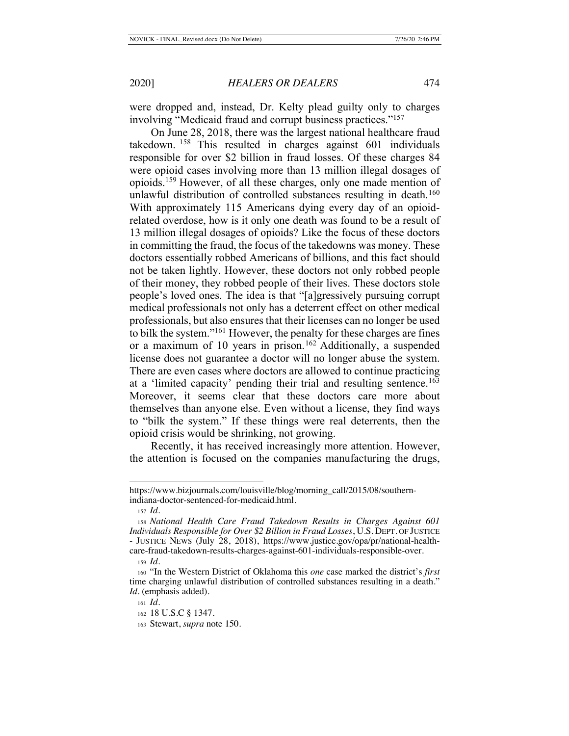were dropped and, instead, Dr. Kelty plead guilty only to charges involving "Medicaid fraud and corrupt business practices."157

On June 28, 2018, there was the largest national healthcare fraud takedown. 158 This resulted in charges against 601 individuals responsible for over \$2 billion in fraud losses. Of these charges 84 were opioid cases involving more than 13 million illegal dosages of opioids.159 However, of all these charges, only one made mention of unlawful distribution of controlled substances resulting in death.<sup>160</sup> With approximately 115 Americans dying every day of an opioidrelated overdose, how is it only one death was found to be a result of 13 million illegal dosages of opioids? Like the focus of these doctors in committing the fraud, the focus of the takedowns was money. These doctors essentially robbed Americans of billions, and this fact should not be taken lightly. However, these doctors not only robbed people of their money, they robbed people of their lives. These doctors stole people's loved ones. The idea is that "[a]gressively pursuing corrupt medical professionals not only has a deterrent effect on other medical professionals, but also ensures that their licenses can no longer be used to bilk the system."161 However, the penalty for these charges are fines or a maximum of 10 years in prison.<sup>162</sup> Additionally, a suspended license does not guarantee a doctor will no longer abuse the system. There are even cases where doctors are allowed to continue practicing at a 'limited capacity' pending their trial and resulting sentence.<sup>163</sup> Moreover, it seems clear that these doctors care more about themselves than anyone else. Even without a license, they find ways to "bilk the system." If these things were real deterrents, then the opioid crisis would be shrinking, not growing.

Recently, it has received increasingly more attention. However, the attention is focused on the companies manufacturing the drugs,

https://www.bizjournals.com/louisville/blog/morning\_call/2015/08/southernindiana-doctor-sentenced-for-medicaid.html.

<sup>157</sup> *Id.*

<sup>158</sup> *National Health Care Fraud Takedown Results in Charges Against 601 Individuals Responsible for Over \$2 Billion in Fraud Losses*, U.S. DEPT. OF JUSTICE - JUSTICE NEWS (July 28, 2018), https://www.justice.gov/opa/pr/national-healthcare-fraud-takedown-results-charges-against-601-individuals-responsible-over.

<sup>159</sup> *Id.*

<sup>160</sup> "In the Western District of Oklahoma this *one* case marked the district's *first* time charging unlawful distribution of controlled substances resulting in a death." *Id.* (emphasis added).

<sup>161</sup> *Id.*

<sup>162</sup> 18 U.S.C § 1347.

<sup>163</sup> Stewart, *supra* note 150.